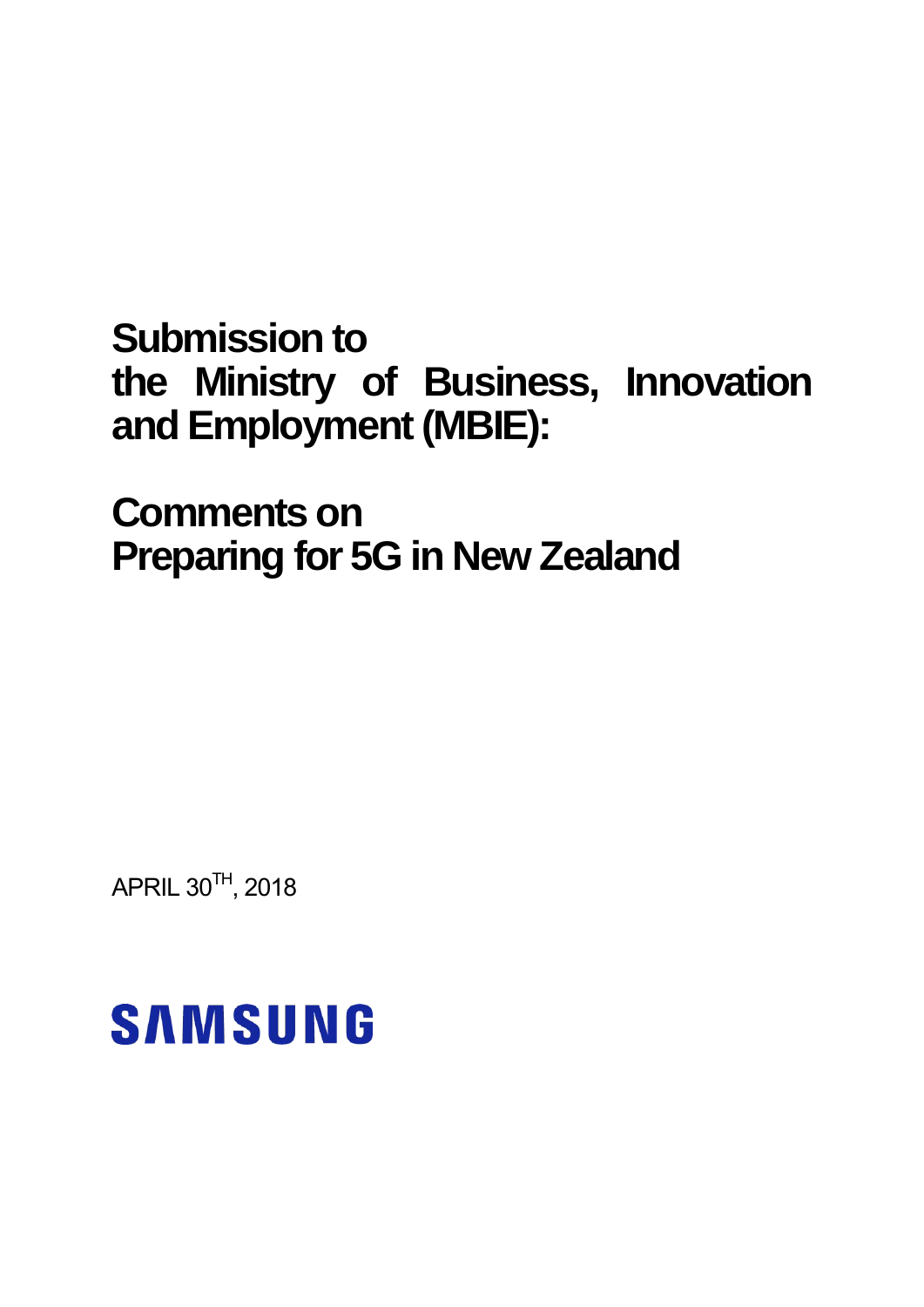## **Submission to the Ministry of Business, Innovation and Employment (MBIE):**

**Comments on Preparing for 5G in New Zealand** 

APRIL 30 $^{\text{TH}}$ , 2018

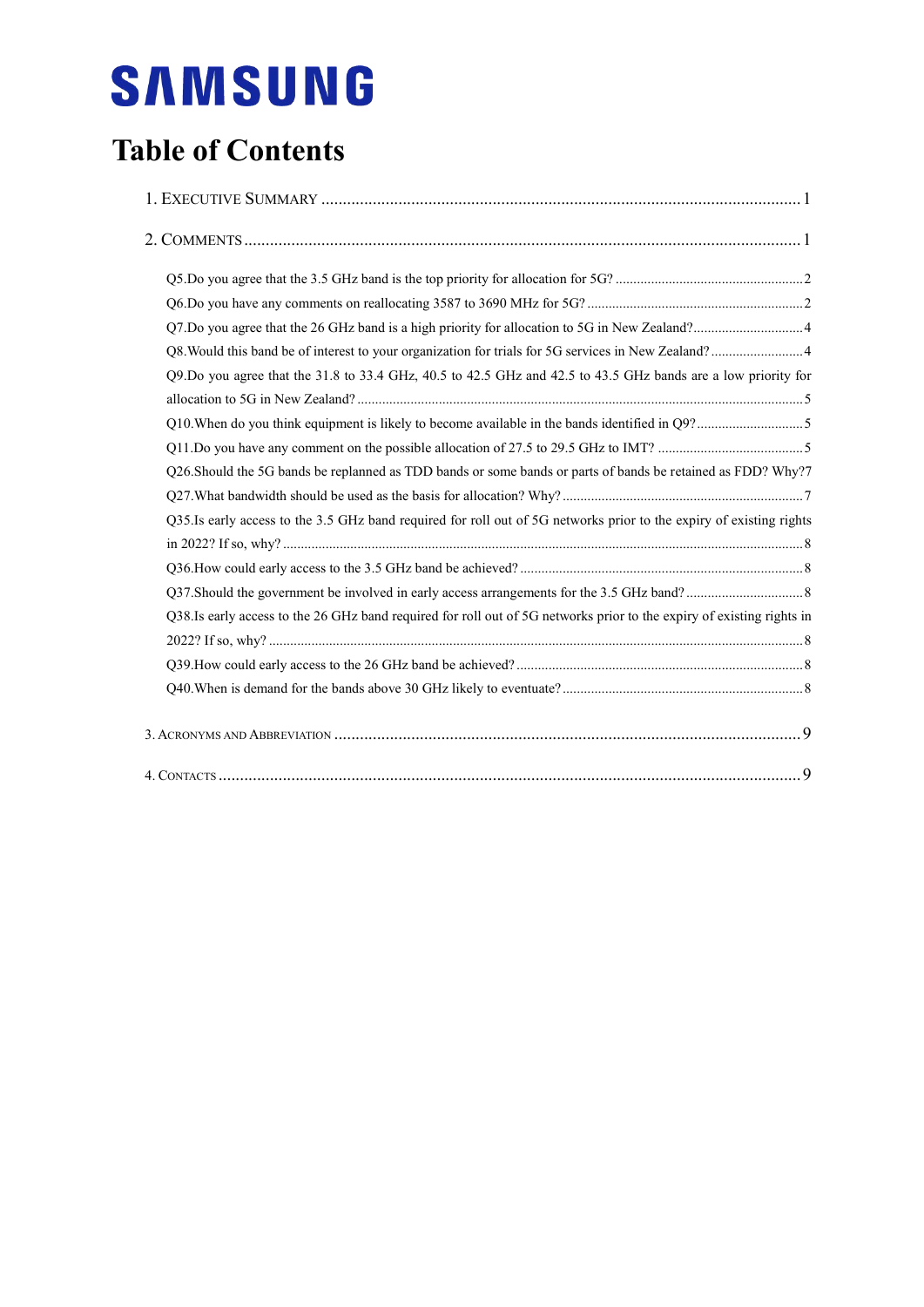### **Table of Contents**

| Q9.Do you agree that the 31.8 to 33.4 GHz, 40.5 to 42.5 GHz and 42.5 to 43.5 GHz bands are a low priority for         |  |
|-----------------------------------------------------------------------------------------------------------------------|--|
|                                                                                                                       |  |
|                                                                                                                       |  |
|                                                                                                                       |  |
| Q26.Should the 5G bands be replanned as TDD bands or some bands or parts of bands be retained as FDD? Why?7           |  |
|                                                                                                                       |  |
| Q35.Is early access to the 3.5 GHz band required for roll out of 5G networks prior to the expiry of existing rights   |  |
|                                                                                                                       |  |
|                                                                                                                       |  |
|                                                                                                                       |  |
| Q38.Is early access to the 26 GHz band required for roll out of 5G networks prior to the expiry of existing rights in |  |
|                                                                                                                       |  |
|                                                                                                                       |  |
|                                                                                                                       |  |
|                                                                                                                       |  |
|                                                                                                                       |  |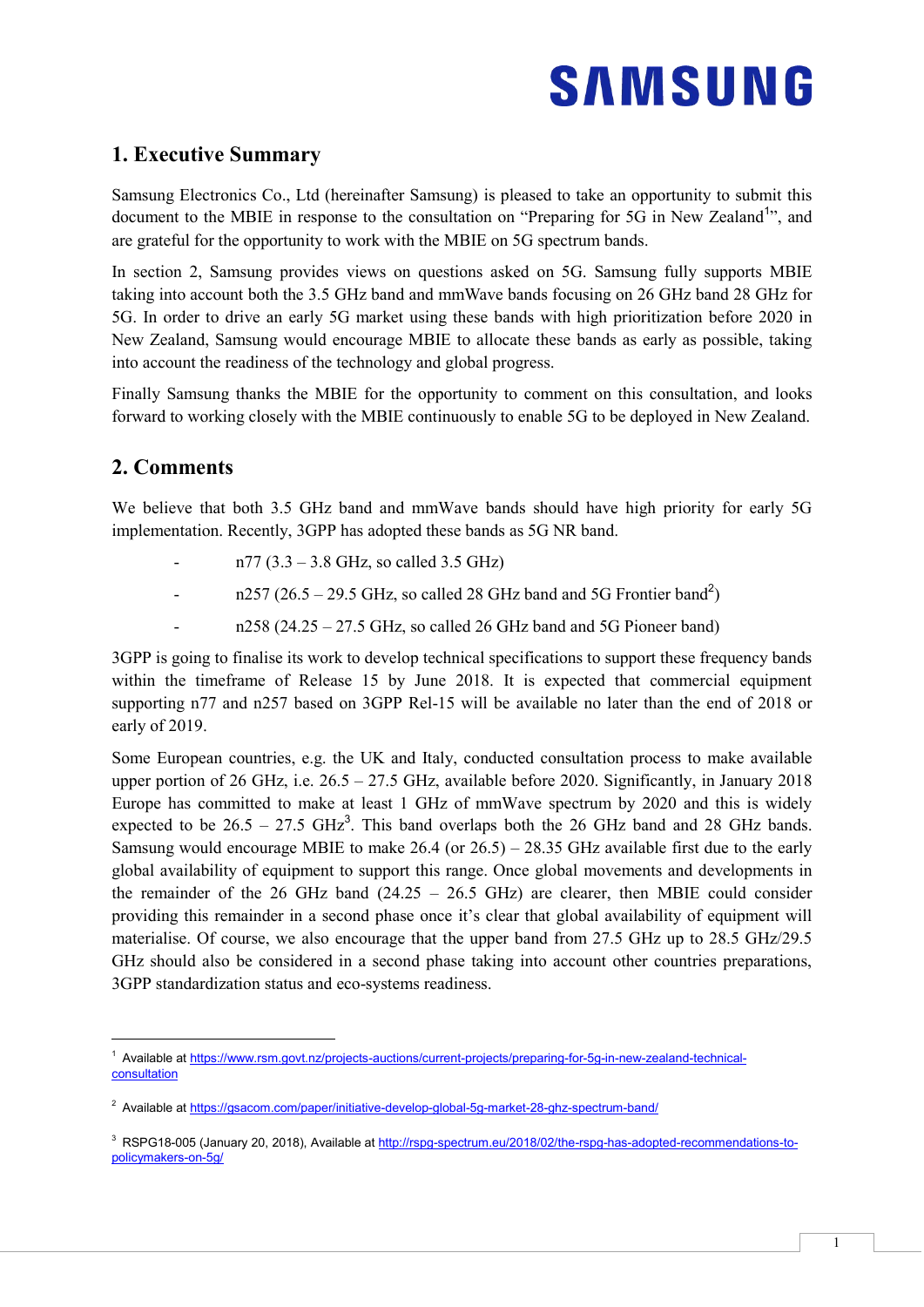### <span id="page-2-0"></span>**1. Executive Summary**

Samsung Electronics Co., Ltd (hereinafter Samsung) is pleased to take an opportunity to submit this document to the MBIE in response to the consultation on "Preparing for 5G in New Zealand<sup>1</sup>", and are grateful for the opportunity to work with the MBIE on 5G spectrum bands.

In section 2, Samsung provides views on questions asked on 5G. Samsung fully supports MBIE taking into account both the 3.5 GHz band and mmWave bands focusing on 26 GHz band 28 GHz for 5G. In order to drive an early 5G market using these bands with high prioritization before 2020 in New Zealand, Samsung would encourage MBIE to allocate these bands as early as possible, taking into account the readiness of the technology and global progress.

Finally Samsung thanks the MBIE for the opportunity to comment on this consultation, and looks forward to working closely with the MBIE continuously to enable 5G to be deployed in New Zealand.

### <span id="page-2-1"></span>**2. Comments**

-

We believe that both 3.5 GHz band and mmWave bands should have high priority for early 5G implementation. Recently, 3GPP has adopted these bands as 5G NR band.

- $n77 (3.3 3.8 \text{ GHz}, so called 3.5 \text{ GHz})$
- n257 (26.5 29.5 GHz, so called 28 GHz band and 5G Frontier band<sup>2</sup>)
	- $n258 (24.25 27.5$  GHz, so called 26 GHz band and 5G Pioneer band)

3GPP is going to finalise its work to develop technical specifications to support these frequency bands within the timeframe of Release 15 by June 2018. It is expected that commercial equipment supporting n77 and n257 based on 3GPP Rel-15 will be available no later than the end of 2018 or early of 2019.

Some European countries, e.g. the UK and Italy, conducted consultation process to make available upper portion of 26 GHz, i.e.  $26.5 - 27.5$  GHz, available before 2020. Significantly, in January 2018 Europe has committed to make at least 1 GHz of mmWave spectrum by 2020 and this is widely expected to be  $26.5 - 27.5$   $\text{GHz}^3$ . This band overlaps both the 26 GHz band and 28 GHz bands. Samsung would encourage MBIE to make 26.4 (or 26.5) – 28.35 GHz available first due to the early global availability of equipment to support this range. Once global movements and developments in the remainder of the 26 GHz band  $(24.25 - 26.5 \text{ GHz})$  are clearer, then MBIE could consider providing this remainder in a second phase once it's clear that global availability of equipment will materialise. Of course, we also encourage that the upper band from 27.5 GHz up to 28.5 GHz/29.5 GHz should also be considered in a second phase taking into account other countries preparations, 3GPP standardization status and eco-systems readiness.

<sup>&</sup>lt;sup>1</sup> Available a[t https://www.rsm.govt.nz/projects-auctions/current-projects/preparing-for-5g-in-new-zealand-technical](https://www.rsm.govt.nz/projects-auctions/current-projects/preparing-for-5g-in-new-zealand-technical-consultation)**consultation** 

<sup>&</sup>lt;sup>2</sup> Available at https://gsacom.com/paper/initiative-develop-global-5g-market-28-ghz-spectrum-band/

<sup>&</sup>lt;sup>3</sup> RSPG18-005 (January 20, 2018), Available at [http://rspg-spectrum.eu/2018/02/the-rspg-has-adopted-recommendations-to](http://rspg-spectrum.eu/2018/02/the-rspg-has-adopted-recommendations-to-policymakers-on-5g/)[policymakers-on-5g/](http://rspg-spectrum.eu/2018/02/the-rspg-has-adopted-recommendations-to-policymakers-on-5g/)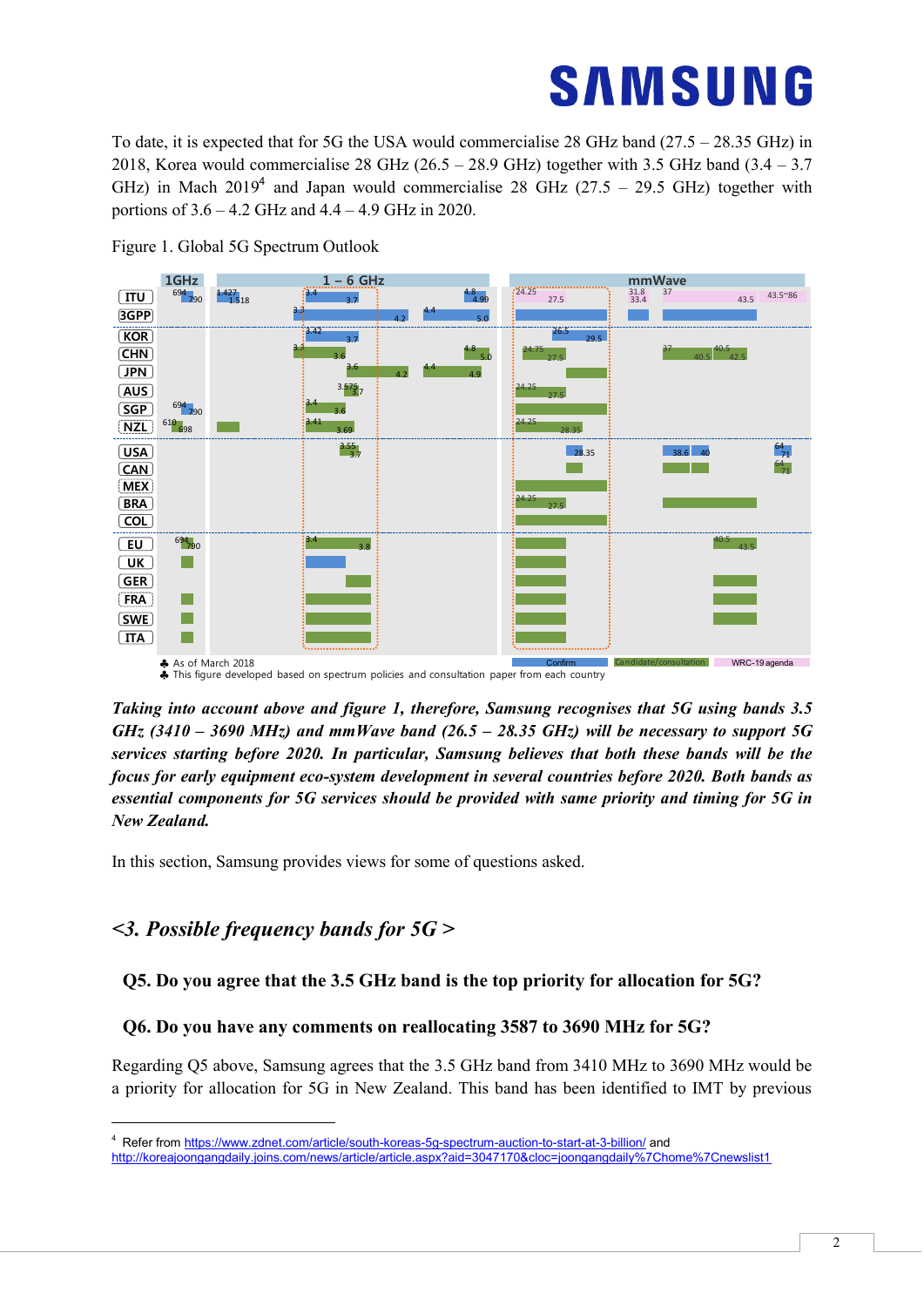To date, it is expected that for 5G the USA would commercialise 28 GHz band (27.5 – 28.35 GHz) in 2018, Korea would commercialise 28 GHz (26.5 – 28.9 GHz) together with 3.5 GHz band (3.4 – 3.7 GHz) in Mach  $2019<sup>4</sup>$  and Japan would commercialise 28 GHz (27.5 – 29.5 GHz) together with portions of 3.6 – 4.2 GHz and 4.4 – 4.9 GHz in 2020.



Figure 1. Global 5G Spectrum Outlook

*Taking into account above and figure 1, therefore, Samsung recognises that 5G using bands 3.5 GHz (3410 – 3690 MHz) and mmWave band (26.5 – 28.35 GHz) will be necessary to support 5G services starting before 2020. In particular, Samsung believes that both these bands will be the focus for early equipment eco-system development in several countries before 2020. Both bands as essential components for 5G services should be provided with same priority and timing for 5G in New Zealand.*

In this section, Samsung provides views for some of questions asked.

### *<3. Possible frequency bands for 5G >*

-

#### <span id="page-3-0"></span>**Q5. Do you agree that the 3.5 GHz band is the top priority for allocation for 5G?**

#### <span id="page-3-1"></span>**Q6. Do you have any comments on reallocating 3587 to 3690 MHz for 5G?**

Regarding Q5 above, Samsung agrees that the 3.5 GHz band from 3410 MHz to 3690 MHz would be a priority for allocation for 5G in New Zealand. This band has been identified to IMT by previous

<sup>4</sup> Refer from<https://www.zdnet.com/article/south-koreas-5g-spectrum-auction-to-start-at-3-billion/> and <http://koreajoongangdaily.joins.com/news/article/article.aspx?aid=3047170&cloc=joongangdaily%7Chome%7Cnewslist1>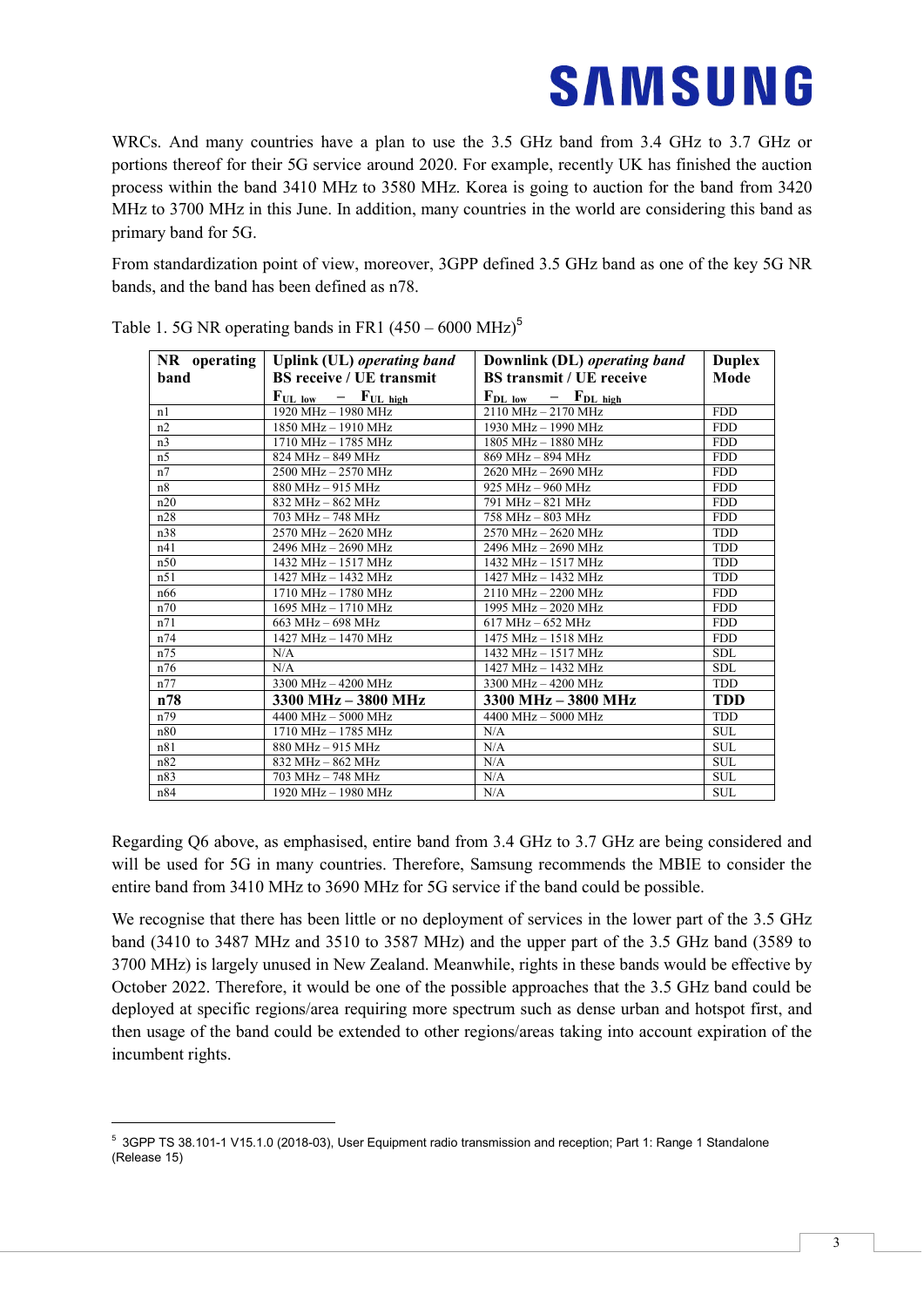WRCs. And many countries have a plan to use the 3.5 GHz band from 3.4 GHz to 3.7 GHz or portions thereof for their 5G service around 2020. For example, recently UK has finished the auction process within the band 3410 MHz to 3580 MHz. Korea is going to auction for the band from 3420 MHz to 3700 MHz in this June. In addition, many countries in the world are considering this band as primary band for 5G.

From standardization point of view, moreover, 3GPP defined 3.5 GHz band as one of the key 5G NR bands, and the band has been defined as n78.

| $NR$ operating | Uplink (UL) operating band         | Downlink (DL) operating band               | <b>Duplex</b> |  |
|----------------|------------------------------------|--------------------------------------------|---------------|--|
| band           | <b>BS</b> receive / UE transmit    | <b>BS</b> transmit / UE receive            | Mode          |  |
|                | $F_{UL \, low}$ – $F_{UL \, high}$ | $F_{DL \text{low}}$ – $F_{DL \text{high}}$ |               |  |
| n <sub>1</sub> | 1920 MHz - 1980 MHz                | 2110 MHz - 2170 MHz                        | <b>FDD</b>    |  |
| n2             | 1850 MHz - 1910 MHz                | 1930 MHz - 1990 MHz                        | <b>FDD</b>    |  |
| n <sub>3</sub> | 1710 MHz - 1785 MHz                | 1805 MHz - 1880 MHz                        | <b>FDD</b>    |  |
| n <sub>5</sub> | 824 MHz - 849 MHz                  | 869 MHz - 894 MHz                          | <b>FDD</b>    |  |
| n7             | 2500 MHz - 2570 MHz                | 2620 MHz - 2690 MHz                        | <b>FDD</b>    |  |
| n8             | 880 MHz - 915 MHz                  | 925 MHz - 960 MHz                          | <b>FDD</b>    |  |
| n20            | 832 MHz - 862 MHz                  | 791 MHz - 821 MHz                          | <b>FDD</b>    |  |
| n28            | 703 MHz - 748 MHz                  | 758 MHz - 803 MHz                          | <b>FDD</b>    |  |
| n38            | 2570 MHz - 2620 MHz                | 2570 MHz - 2620 MHz                        | <b>TDD</b>    |  |
| n41            | 2496 MHz - 2690 MHz                | 2496 MHz - 2690 MHz                        | <b>TDD</b>    |  |
| n50            | 1432 MHz - 1517 MHz                | 1432 MHz - 1517 MHz                        | <b>TDD</b>    |  |
| n51            | 1427 MHz - 1432 MHz                | 1427 MHz - 1432 MHz                        | <b>TDD</b>    |  |
| n66            | 1710 MHz - 1780 MHz                | $2110 \text{ MHz} - 2200 \text{ MHz}$      | <b>FDD</b>    |  |
| n70            | 1695 MHz - 1710 MHz                | 1995 MHz - 2020 MHz                        | <b>FDD</b>    |  |
| n71            | 663 MHz - 698 MHz                  | $617 MHz - 652 MHz$                        | <b>FDD</b>    |  |
| n74            | 1427 MHz - 1470 MHz                | 1475 MHz - 1518 MHz                        | <b>FDD</b>    |  |
| n75            | N/A                                | 1432 MHz - 1517 MHz                        | <b>SDL</b>    |  |
| n76            | N/A                                | 1427 MHz - 1432 MHz                        | <b>SDL</b>    |  |
| n77            | 3300 MHz - 4200 MHz                | 3300 MHz - 4200 MHz                        | <b>TDD</b>    |  |
| n78            | 3300 MHz - 3800 MHz                | 3300 MHz - 3800 MHz                        | <b>TDD</b>    |  |
| n79            | 4400 MHz - 5000 MHz                | 4400 MHz - 5000 MHz                        | <b>TDD</b>    |  |
| n80            | 1710 MHz - 1785 MHz                | N/A                                        | <b>SUL</b>    |  |
| n81            | 880 MHz - 915 MHz                  | N/A                                        | <b>SUL</b>    |  |
| n82            | 832 MHz - 862 MHz                  | N/A                                        | <b>SUL</b>    |  |
| n83            | 703 MHz - 748 MHz                  | N/A                                        | <b>SUL</b>    |  |
| n84            | 1920 MHz - 1980 MHz                | N/A                                        | <b>SUL</b>    |  |

Table 1. 5G NR operating bands in FR1  $(450 - 6000 \text{ MHz})^5$ 

Regarding Q6 above, as emphasised, entire band from 3.4 GHz to 3.7 GHz are being considered and will be used for 5G in many countries. Therefore, Samsung recommends the MBIE to consider the entire band from 3410 MHz to 3690 MHz for 5G service if the band could be possible.

We recognise that there has been little or no deployment of services in the lower part of the 3.5 GHz band (3410 to 3487 MHz and 3510 to 3587 MHz) and the upper part of the 3.5 GHz band (3589 to 3700 MHz) is largely unused in New Zealand. Meanwhile, rights in these bands would be effective by October 2022. Therefore, it would be one of the possible approaches that the 3.5 GHz band could be deployed at specific regions/area requiring more spectrum such as dense urban and hotspot first, and then usage of the band could be extended to other regions/areas taking into account expiration of the incumbent rights.

-

<sup>5</sup> 3GPP TS 38.101-1 V15.1.0 (2018-03), User Equipment radio transmission and reception; Part 1: Range 1 Standalone (Release 15)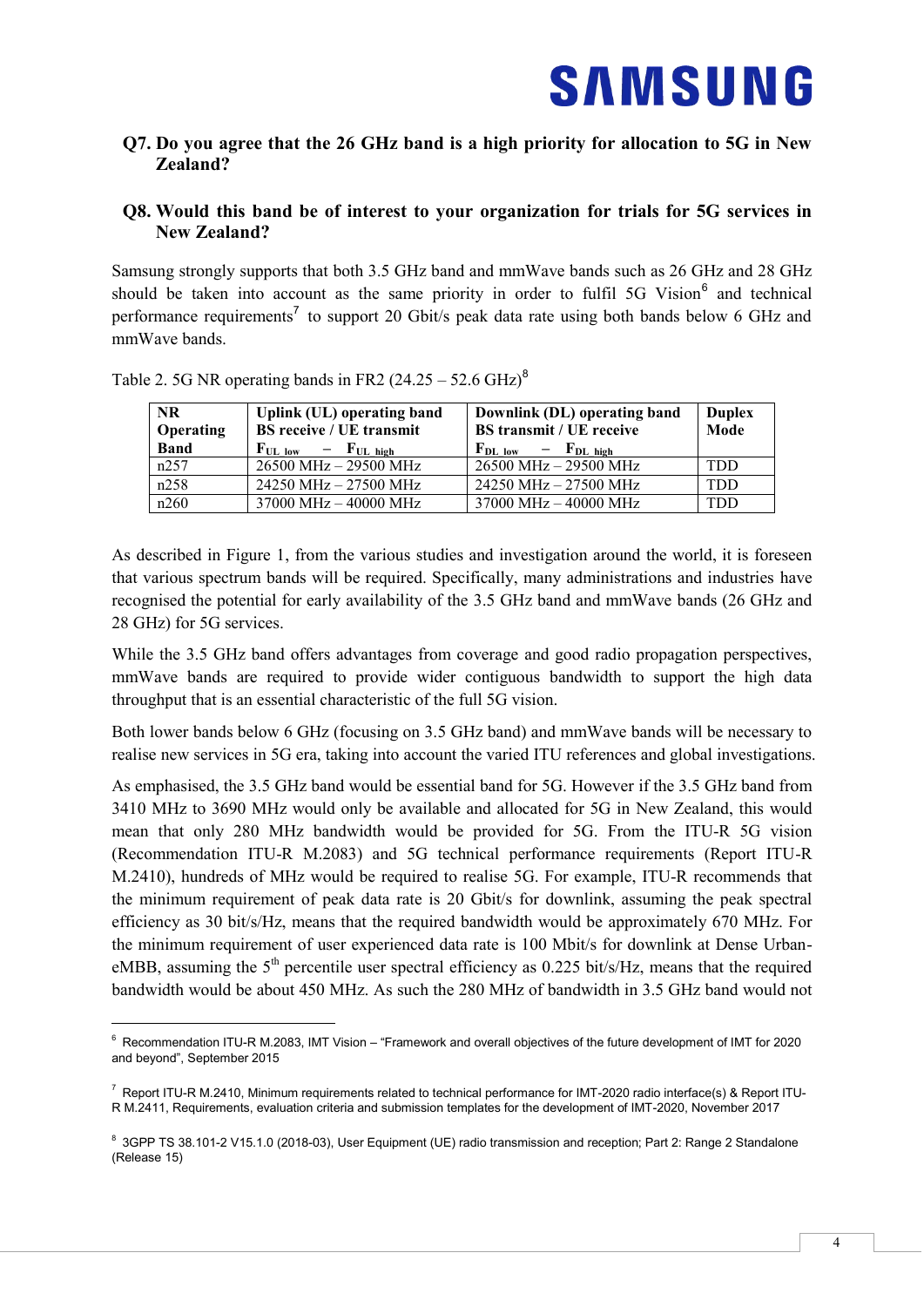#### <span id="page-5-0"></span>**Q7. Do you agree that the 26 GHz band is a high priority for allocation to 5G in New Zealand?**

#### <span id="page-5-1"></span>**Q8. Would this band be of interest to your organization for trials for 5G services in New Zealand?**

Samsung strongly supports that both 3.5 GHz band and mmWave bands such as 26 GHz and 28 GHz should be taken into account as the same priority in order to fulfil 5G Vision<sup>6</sup> and technical performance requirements<sup>7</sup> to support 20 Gbit/s peak data rate using both bands below 6 GHz and mmWave bands.

| <b>NR</b><br>Operating | Uplink (UL) operating band<br><b>BS</b> receive / UE transmit | Downlink (DL) operating band<br><b>BS</b> transmit / UE receive | <b>Duplex</b><br>Mode |
|------------------------|---------------------------------------------------------------|-----------------------------------------------------------------|-----------------------|
| <b>Band</b>            | $F_{UL \, low}$ – $F_{UL \, high}$                            | $F_{DL\,low}$ – $F_{DL\,high}$                                  |                       |
| n257                   | 26500 MHz - 29500 MHz                                         | 26500 MHz - 29500 MHz                                           | TDD                   |
| n258                   | 24250 MHz - 27500 MHz                                         | 24250 MHz - 27500 MHz                                           | TDD                   |
| n260                   | 37000 MHz - 40000 MHz                                         | 37000 MHz - 40000 MHz                                           | TDD                   |

Table 2. 5G NR operating bands in FR2  $(24.25 - 52.6 \text{ GHz})^8$ 

-

As described in Figure 1, from the various studies and investigation around the world, it is foreseen that various spectrum bands will be required. Specifically, many administrations and industries have recognised the potential for early availability of the 3.5 GHz band and mmWave bands (26 GHz and 28 GHz) for 5G services.

While the 3.5 GHz band offers advantages from coverage and good radio propagation perspectives, mmWave bands are required to provide wider contiguous bandwidth to support the high data throughput that is an essential characteristic of the full 5G vision.

Both lower bands below 6 GHz (focusing on 3.5 GHz band) and mmWave bands will be necessary to realise new services in 5G era, taking into account the varied ITU references and global investigations.

As emphasised, the 3.5 GHz band would be essential band for 5G. However if the 3.5 GHz band from 3410 MHz to 3690 MHz would only be available and allocated for 5G in New Zealand, this would mean that only 280 MHz bandwidth would be provided for 5G. From the ITU-R 5G vision (Recommendation ITU-R M.2083) and 5G technical performance requirements (Report ITU-R M.2410), hundreds of MHz would be required to realise 5G. For example, ITU-R recommends that the minimum requirement of peak data rate is 20 Gbit/s for downlink, assuming the peak spectral efficiency as 30 bit/s/Hz, means that the required bandwidth would be approximately 670 MHz. For the minimum requirement of user experienced data rate is 100 Mbit/s for downlink at Dense UrbaneMBB, assuming the  $5<sup>th</sup>$  percentile user spectral efficiency as 0.225 bit/s/Hz, means that the required bandwidth would be about 450 MHz. As such the 280 MHz of bandwidth in 3.5 GHz band would not

<sup>&</sup>lt;sup>6</sup> Recommendation ITU-R M.2083, IMT Vision – "Framework and overall objectives of the future development of IMT for 2020 and beyond", September 2015

 $^7$  Report ITU-R M.2410, Minimum requirements related to technical performance for IMT-2020 radio interface(s) & Report ITU-R M.2411, Requirements, evaluation criteria and submission templates for the development of IMT-2020, November 2017

<sup>&</sup>lt;sup>8</sup> 3GPP TS 38.101-2 V15.1.0 (2018-03), User Equipment (UE) radio transmission and reception; Part 2: Range 2 Standalone (Release 15)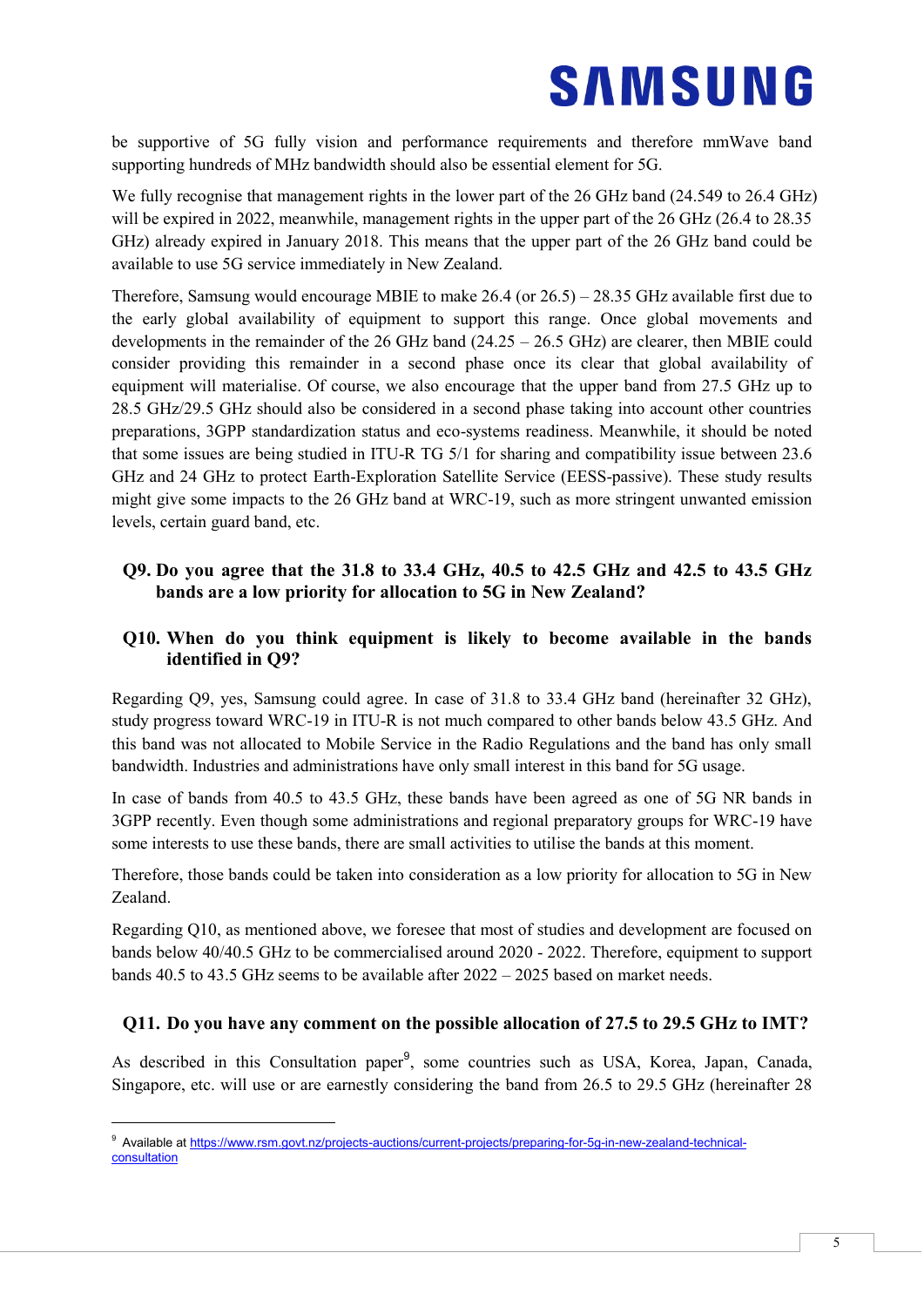be supportive of 5G fully vision and performance requirements and therefore mmWave band supporting hundreds of MHz bandwidth should also be essential element for 5G.

We fully recognise that management rights in the lower part of the 26 GHz band (24.549 to 26.4 GHz) will be expired in 2022, meanwhile, management rights in the upper part of the 26 GHz (26.4 to 28.35 GHz) already expired in January 2018. This means that the upper part of the 26 GHz band could be available to use 5G service immediately in New Zealand.

Therefore, Samsung would encourage MBIE to make 26.4 (or 26.5) – 28.35 GHz available first due to the early global availability of equipment to support this range. Once global movements and developments in the remainder of the 26 GHz band (24.25 – 26.5 GHz) are clearer, then MBIE could consider providing this remainder in a second phase once its clear that global availability of equipment will materialise. Of course, we also encourage that the upper band from 27.5 GHz up to 28.5 GHz/29.5 GHz should also be considered in a second phase taking into account other countries preparations, 3GPP standardization status and eco-systems readiness. Meanwhile, it should be noted that some issues are being studied in ITU-R TG 5/1 for sharing and compatibility issue between 23.6 GHz and 24 GHz to protect Earth-Exploration Satellite Service (EESS-passive). These study results might give some impacts to the 26 GHz band at WRC-19, such as more stringent unwanted emission levels, certain guard band, etc.

#### <span id="page-6-0"></span>**Q9. Do you agree that the 31.8 to 33.4 GHz, 40.5 to 42.5 GHz and 42.5 to 43.5 GHz bands are a low priority for allocation to 5G in New Zealand?**

#### <span id="page-6-1"></span>**Q10. When do you think equipment is likely to become available in the bands identified in Q9?**

Regarding Q9, yes, Samsung could agree. In case of 31.8 to 33.4 GHz band (hereinafter 32 GHz), study progress toward WRC-19 in ITU-R is not much compared to other bands below 43.5 GHz. And this band was not allocated to Mobile Service in the Radio Regulations and the band has only small bandwidth. Industries and administrations have only small interest in this band for 5G usage.

In case of bands from 40.5 to 43.5 GHz, these bands have been agreed as one of 5G NR bands in 3GPP recently. Even though some administrations and regional preparatory groups for WRC-19 have some interests to use these bands, there are small activities to utilise the bands at this moment.

Therefore, those bands could be taken into consideration as a low priority for allocation to 5G in New Zealand.

Regarding Q10, as mentioned above, we foresee that most of studies and development are focused on bands below 40/40.5 GHz to be commercialised around 2020 - 2022. Therefore, equipment to support bands 40.5 to 43.5 GHz seems to be available after 2022 – 2025 based on market needs.

#### <span id="page-6-2"></span>**Q11. Do you have any comment on the possible allocation of 27.5 to 29.5 GHz to IMT?**

As described in this Consultation paper<sup>9</sup>, some countries such as USA, Korea, Japan, Canada, Singapore, etc. will use or are earnestly considering the band from 26.5 to 29.5 GHz (hereinafter 28

-

<sup>9</sup> Available a[t https://www.rsm.govt.nz/projects-auctions/current-projects/preparing-for-5g-in-new-zealand-technical](https://www.rsm.govt.nz/projects-auctions/current-projects/preparing-for-5g-in-new-zealand-technical-consultation)[consultation](https://www.rsm.govt.nz/projects-auctions/current-projects/preparing-for-5g-in-new-zealand-technical-consultation)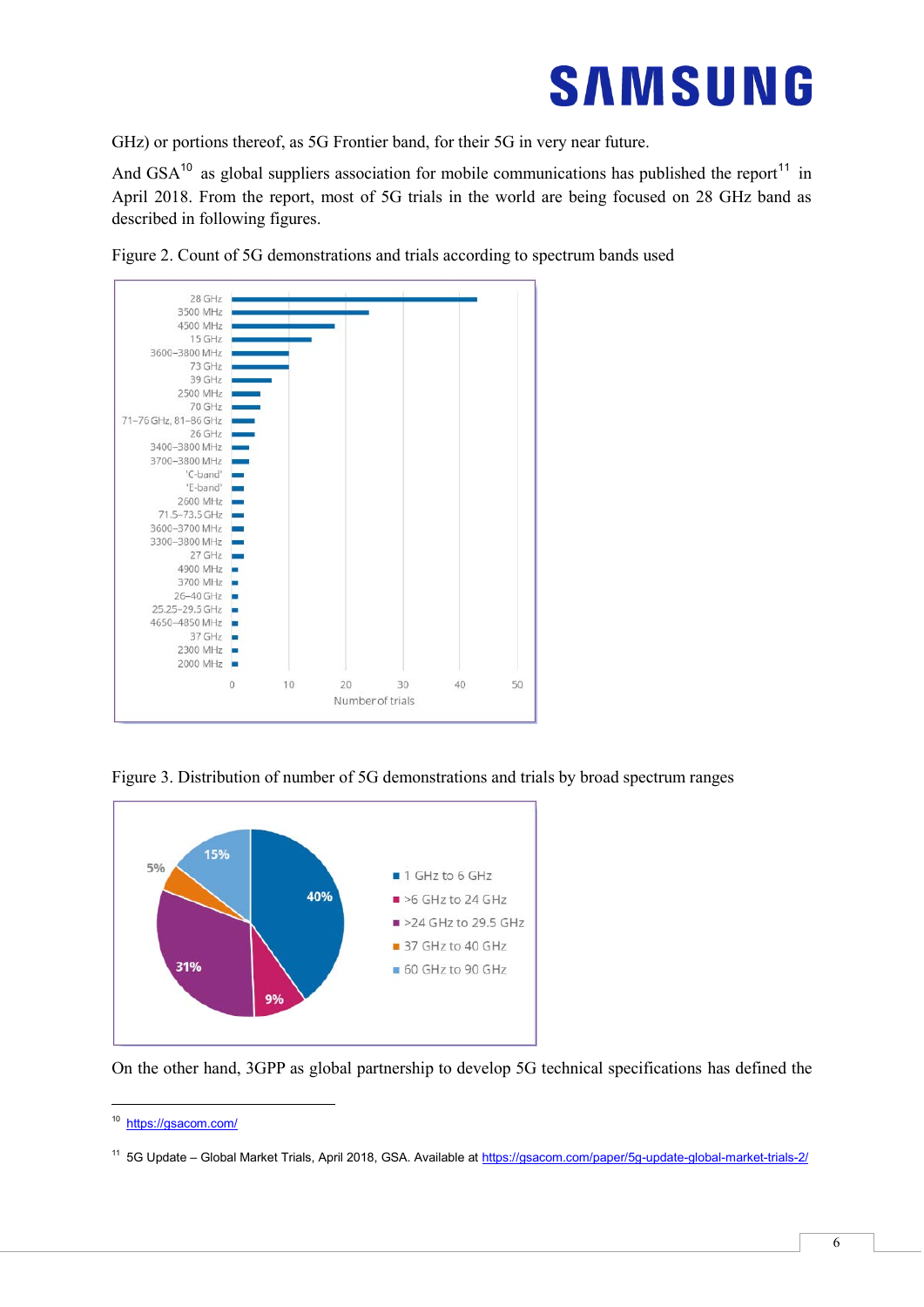

GHz) or portions thereof, as 5G Frontier band, for their 5G in very near future.

And GSA<sup>10</sup> as global suppliers association for mobile communications has published the report<sup>11</sup> in April 2018. From the report, most of 5G trials in the world are being focused on 28 GHz band as described in following figures.



Figure 2. Count of 5G demonstrations and trials according to spectrum bands used

Figure 3. Distribution of number of 5G demonstrations and trials by broad spectrum ranges



On the other hand, 3GPP as global partnership to develop 5G technical specifications has defined the

-

<sup>10</sup> <https://gsacom.com/>

<sup>11 5</sup>G Update – Global Market Trials, April 2018, GSA. Available at https://gsacom.com/paper/5g-update-global-market-trials-2/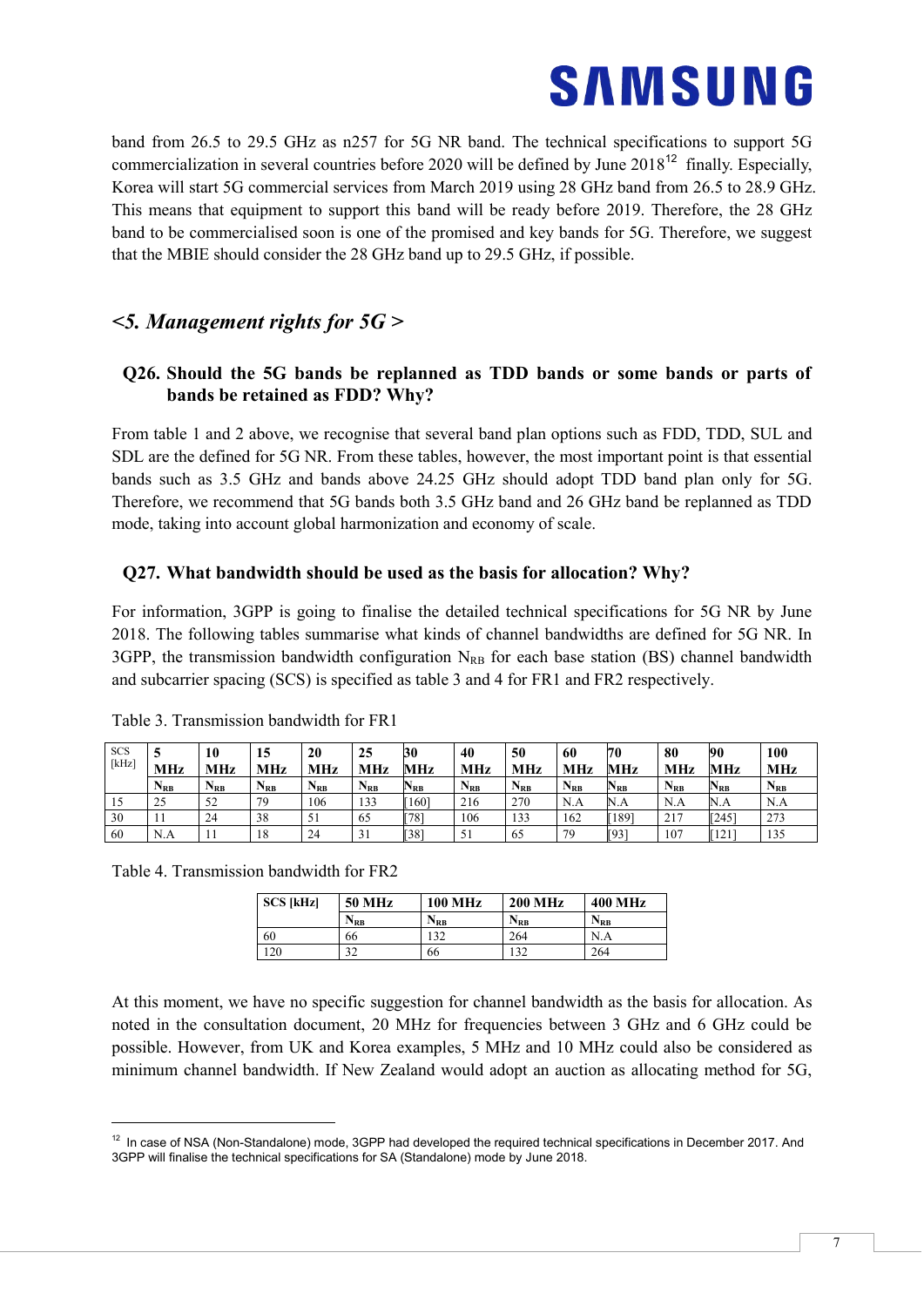band from 26.5 to 29.5 GHz as n257 for 5G NR band. The technical specifications to support 5G commercialization in several countries before 2020 will be defined by June  $2018^{12}$  finally. Especially, Korea will start 5G commercial services from March 2019 using 28 GHz band from 26.5 to 28.9 GHz. This means that equipment to support this band will be ready before 2019. Therefore, the 28 GHz band to be commercialised soon is one of the promised and key bands for 5G. Therefore, we suggest that the MBIE should consider the 28 GHz band up to 29.5 GHz, if possible.

### *<5. Management rights for 5G >*

#### <span id="page-8-0"></span>**Q26. Should the 5G bands be replanned as TDD bands or some bands or parts of bands be retained as FDD? Why?**

From table 1 and 2 above, we recognise that several band plan options such as FDD, TDD, SUL and SDL are the defined for 5G NR. From these tables, however, the most important point is that essential bands such as 3.5 GHz and bands above 24.25 GHz should adopt TDD band plan only for 5G. Therefore, we recommend that 5G bands both 3.5 GHz band and 26 GHz band be replanned as TDD mode, taking into account global harmonization and economy of scale.

#### <span id="page-8-1"></span>**Q27. What bandwidth should be used as the basis for allocation? Why?**

For information, 3GPP is going to finalise the detailed technical specifications for 5G NR by June 2018. The following tables summarise what kinds of channel bandwidths are defined for 5G NR. In 3GPP, the transmission bandwidth configuration  $N_{RB}$  for each base station (BS) channel bandwidth and subcarrier spacing (SCS) is specified as table 3 and 4 for FR1 and FR2 respectively.

| <b>SCS</b><br>[kHz] | <b>MHz</b> | 10<br>MHz | 15<br><b>MHz</b> | 20<br>MHz       | 25<br>MHz       | 30<br>MHz | 40<br><b>MHz</b> | 50<br>MHz       | 60<br><b>MHz</b> | 70<br>MHz | 80<br>MHz                  | 90<br>MHz | 100<br>MHz |
|---------------------|------------|-----------|------------------|-----------------|-----------------|-----------|------------------|-----------------|------------------|-----------|----------------------------|-----------|------------|
|                     | $N_{RB}$   | $N_{RB}$  | $N_{RB}$         | N <sub>RB</sub> | N <sub>RB</sub> | $N_{RB}$  | $N_{RB}$         | N <sub>RB</sub> | $N_{RB}$         | $N_{RB}$  | $\mathbf{N}_{\mathbf{RB}}$ | $N_{RB}$  | $N_{RB}$   |
| 10                  | 25         | 52        | 79               | 106             | 133             | [160]     | 216              | 270             | N.A              | N.A       | N.A                        | N.A       | N.A        |
| 30                  |            | 24        | 38               |                 | 65              | [78]      | 106              | 133             | 162              | [189]     | 217                        | [245]     | 273        |
| 60                  | N.A        |           | 18               | 24              | 31              | [38]      | 51               | 65              | 79               | [93]      | 107                        | [121]     | 135        |

Table 3. Transmission bandwidth for FR1

Table 4. Transmission bandwidth for FR2

-

| <b>SCS [kHz]</b> | <b>50 MHz</b> | <b>100 MHz</b> | <b>200 MHz</b> | <b>400 MHz</b> |
|------------------|---------------|----------------|----------------|----------------|
|                  | $N_{RB}$      | $\rm N_{RB}$   | $N_{RB}$       | $N_{RR}$       |
| 60               | 66            | 132            | 264            | N.A            |
| 120              | 32            | 66             | 132            | 264            |

At this moment, we have no specific suggestion for channel bandwidth as the basis for allocation. As noted in the consultation document, 20 MHz for frequencies between 3 GHz and 6 GHz could be possible. However, from UK and Korea examples, 5 MHz and 10 MHz could also be considered as minimum channel bandwidth. If New Zealand would adopt an auction as allocating method for 5G,

 $12$  In case of NSA (Non-Standalone) mode, 3GPP had developed the required technical specifications in December 2017. And 3GPP will finalise the technical specifications for SA (Standalone) mode by June 2018.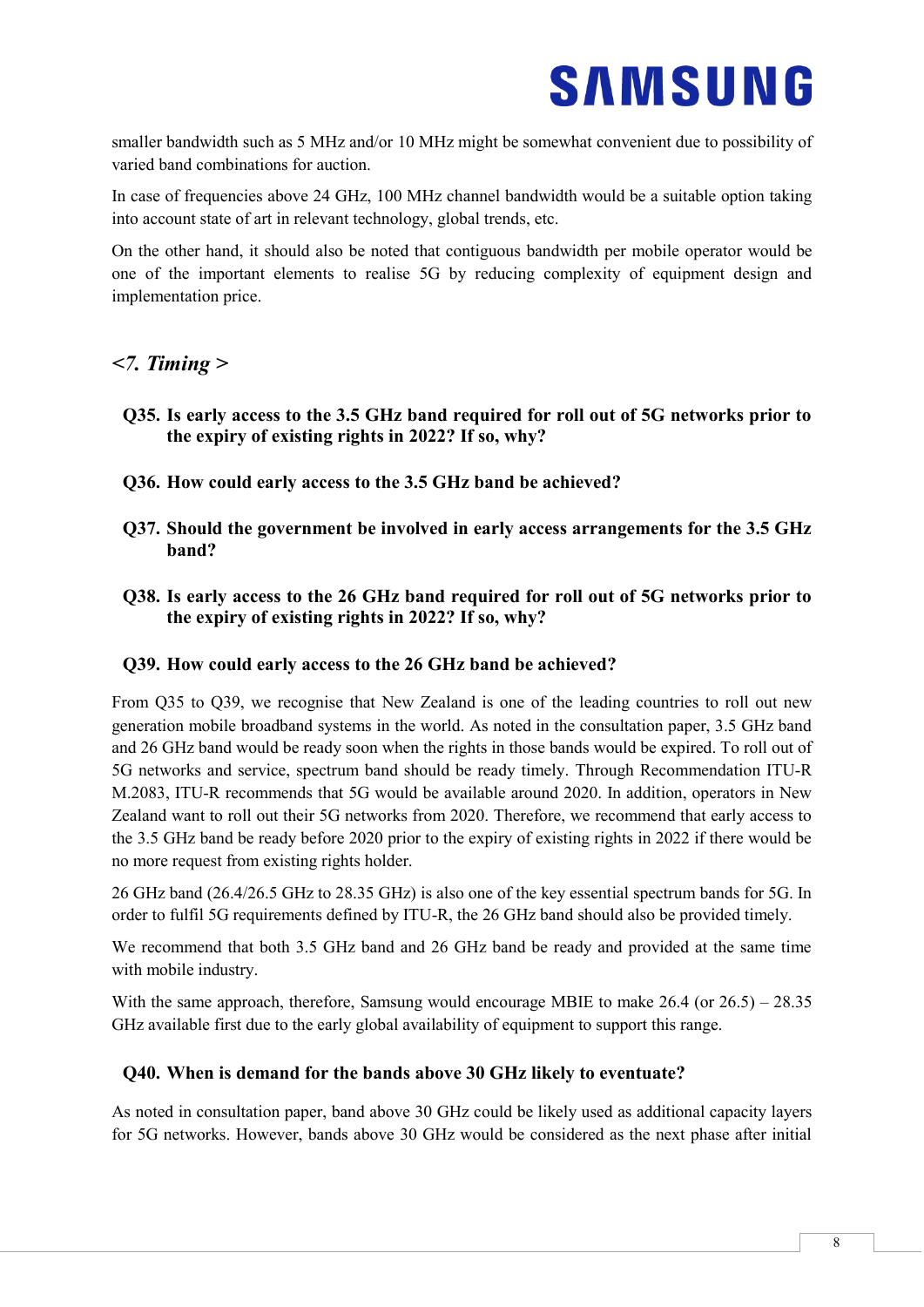smaller bandwidth such as 5 MHz and/or 10 MHz might be somewhat convenient due to possibility of varied band combinations for auction.

In case of frequencies above 24 GHz, 100 MHz channel bandwidth would be a suitable option taking into account state of art in relevant technology, global trends, etc.

On the other hand, it should also be noted that contiguous bandwidth per mobile operator would be one of the important elements to realise 5G by reducing complexity of equipment design and implementation price.

### *<7. Timing >*

- <span id="page-9-0"></span>**Q35. Is early access to the 3.5 GHz band required for roll out of 5G networks prior to the expiry of existing rights in 2022? If so, why?**
- <span id="page-9-1"></span>**Q36. How could early access to the 3.5 GHz band be achieved?**
- <span id="page-9-2"></span>**Q37. Should the government be involved in early access arrangements for the 3.5 GHz band?**
- <span id="page-9-3"></span>**Q38. Is early access to the 26 GHz band required for roll out of 5G networks prior to the expiry of existing rights in 2022? If so, why?**

#### <span id="page-9-4"></span>**Q39. How could early access to the 26 GHz band be achieved?**

From Q35 to Q39, we recognise that New Zealand is one of the leading countries to roll out new generation mobile broadband systems in the world. As noted in the consultation paper, 3.5 GHz band and 26 GHz band would be ready soon when the rights in those bands would be expired. To roll out of 5G networks and service, spectrum band should be ready timely. Through Recommendation ITU-R M.2083, ITU-R recommends that 5G would be available around 2020. In addition, operators in New Zealand want to roll out their 5G networks from 2020. Therefore, we recommend that early access to the 3.5 GHz band be ready before 2020 prior to the expiry of existing rights in 2022 if there would be no more request from existing rights holder.

26 GHz band (26.4/26.5 GHz to 28.35 GHz) is also one of the key essential spectrum bands for 5G. In order to fulfil 5G requirements defined by ITU-R, the 26 GHz band should also be provided timely.

We recommend that both 3.5 GHz band and 26 GHz band be ready and provided at the same time with mobile industry.

With the same approach, therefore, Samsung would encourage MBIE to make 26.4 (or  $26.5$ ) – 28.35 GHz available first due to the early global availability of equipment to support this range.

#### <span id="page-9-5"></span>**Q40. When is demand for the bands above 30 GHz likely to eventuate?**

As noted in consultation paper, band above 30 GHz could be likely used as additional capacity layers for 5G networks. However, bands above 30 GHz would be considered as the next phase after initial